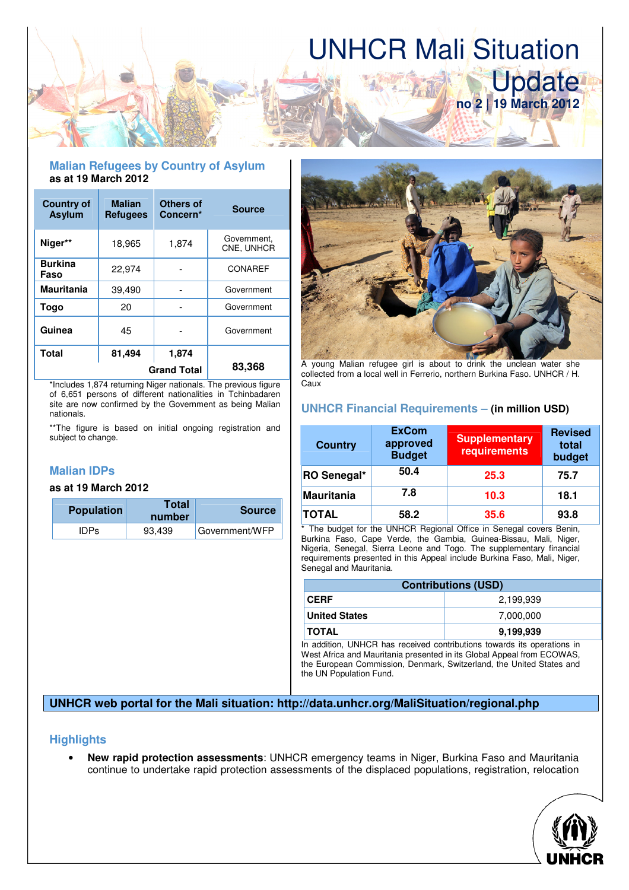# UNHCR Mali Situation

Update

**no 2 | 19 March 2012**

## **Malian Refugees by Country of Asylum as at 19 March 2012**

| <b>Country of</b><br><b>Asylum</b> | <b>Malian</b><br><b>Refugees</b> | Others of<br>Concern* | <b>Source</b>             |
|------------------------------------|----------------------------------|-----------------------|---------------------------|
| Niger**                            | 18,965                           | 1,874                 | Government.<br>CNE, UNHCR |
| <b>Burkina</b><br>Faso             | 22,974                           |                       | CONAREF                   |
| <b>Mauritania</b>                  | 39,490                           |                       | Government                |
| Togo                               | 20                               |                       | Government                |
| Guinea                             | 45                               |                       | Government                |
| Total                              | 81,494                           | 1,874                 |                           |
| <b>Grand Total</b>                 |                                  |                       | 83,368                    |

\*Includes 1,874 returning Niger nationals. The previous figure of 6,651 persons of different nationalities in Tchinbadaren site are now confirmed by the Government as being Malian nationals.

\*\*The figure is based on initial ongoing registration and subject to change.

# **Malian IDPs**

## **as at 19 March 2012**

| <b>Population</b> | Total<br>number | <b>Source</b>  |
|-------------------|-----------------|----------------|
| <b>IDPs</b>       | 93,439          | Government/WFP |



A young Malian refugee girl is about to drink the unclean water she collected from a local well in Ferrerio, northern Burkina Faso. UNHCR / H. Caux

# **UNHCR Financial Requirements – (in million USD)**

| <b>Country</b> | <b>ExCom</b><br>approved<br><b>Budget</b> | <b>Supplementary</b><br>requirements | <b>Revised</b><br>total<br>budget |
|----------------|-------------------------------------------|--------------------------------------|-----------------------------------|
| RO Senegal*    | 50.4                                      | 25.3                                 | 75.7                              |
| Mauritania     | 7.8                                       | 10.3                                 | 18.1                              |
| <b>TOTAL</b>   | 58.2                                      | 35.6                                 | 93.8                              |

\* The budget for the UNHCR Regional Office in Senegal covers Benin, Burkina Faso, Cape Verde, the Gambia, Guinea-Bissau, Mali, Niger, Nigeria, Senegal, Sierra Leone and Togo. The supplementary financial requirements presented in this Appeal include Burkina Faso, Mali, Niger, Senegal and Mauritania.

| 2.199.939                                                                                                      |
|----------------------------------------------------------------------------------------------------------------|
|                                                                                                                |
| 7,000,000                                                                                                      |
| 9.199.939                                                                                                      |
| وسأر ومستلفظ ومستقامها والمستحدث والمستقرق والمستحدث والمستنقص والمستحدث المستقار والمستقار والمستقرة والمستقر |

In addition, UNHCR has received contributions towards its operations in West Africa and Mauritania presented in its Global Appeal from ECOWAS, the European Commission, Denmark, Switzerland, the United States and the UN Population Fund.

## **UNHCR web portal for the Mali situation: http://data.unhcr.org/MaliSituation/regional.php**

## **Highlights**

• **New rapid protection assessments**: UNHCR emergency teams in Niger, Burkina Faso and Mauritania continue to undertake rapid protection assessments of the displaced populations, registration, relocation

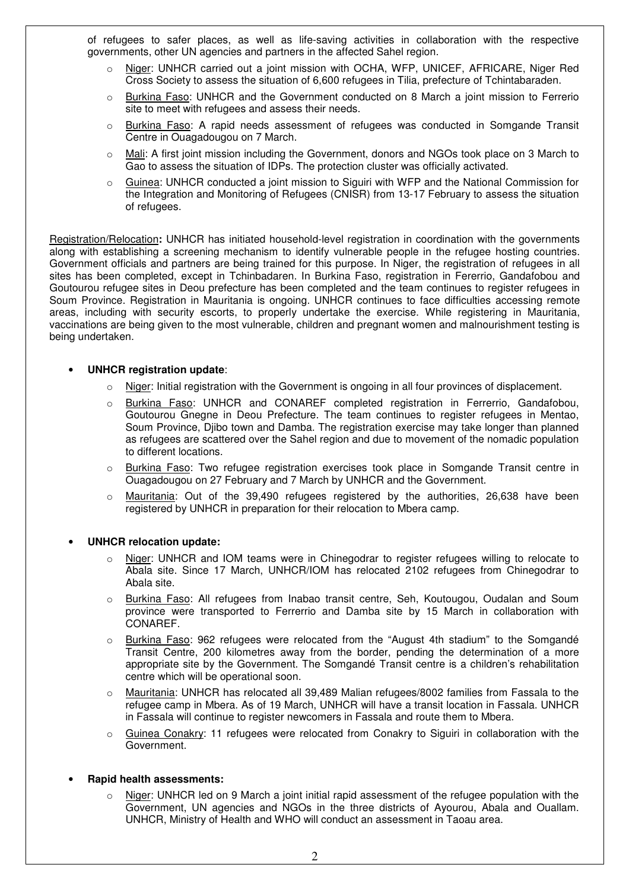of refugees to safer places, as well as life-saving activities in collaboration with the respective governments, other UN agencies and partners in the affected Sahel region.

- Niger: UNHCR carried out a joint mission with OCHA, WFP, UNICEF, AFRICARE, Niger Red Cross Society to assess the situation of 6,600 refugees in Tilia, prefecture of Tchintabaraden.
- $\circ$  Burkina Faso: UNHCR and the Government conducted on 8 March a joint mission to Ferrerio site to meet with refugees and assess their needs.
- o Burkina Faso: A rapid needs assessment of refugees was conducted in Somgande Transit Centre in Ouagadougou on 7 March.
- o Mali: A first joint mission including the Government, donors and NGOs took place on 3 March to Gao to assess the situation of IDPs. The protection cluster was officially activated.
- $\circ$  Guinea: UNHCR conducted a joint mission to Siguiri with WFP and the National Commission for the Integration and Monitoring of Refugees (CNISR) from 13-17 February to assess the situation of refugees.

Registration/Relocation**:** UNHCR has initiated household-level registration in coordination with the governments along with establishing a screening mechanism to identify vulnerable people in the refugee hosting countries. Government officials and partners are being trained for this purpose. In Niger, the registration of refugees in all sites has been completed, except in Tchinbadaren. In Burkina Faso, registration in Fererrio, Gandafobou and Goutourou refugee sites in Deou prefecture has been completed and the team continues to register refugees in Soum Province. Registration in Mauritania is ongoing. UNHCR continues to face difficulties accessing remote areas, including with security escorts, to properly undertake the exercise. While registering in Mauritania, vaccinations are being given to the most vulnerable, children and pregnant women and malnourishment testing is being undertaken.

#### • **UNHCR registration update**:

- o Niger: Initial registration with the Government is ongoing in all four provinces of displacement.
- o Burkina Faso: UNHCR and CONAREF completed registration in Ferrerrio, Gandafobou, Goutourou Gnegne in Deou Prefecture. The team continues to register refugees in Mentao, Soum Province, Djibo town and Damba. The registration exercise may take longer than planned as refugees are scattered over the Sahel region and due to movement of the nomadic population to different locations.
- Burkina Faso: Two refugee registration exercises took place in Somgande Transit centre in Ouagadougou on 27 February and 7 March by UNHCR and the Government.
- $\circ$  Mauritania: Out of the 39,490 refugees registered by the authorities, 26,638 have been registered by UNHCR in preparation for their relocation to Mbera camp.

#### • **UNHCR relocation update:**

- o Niger: UNHCR and IOM teams were in Chinegodrar to register refugees willing to relocate to Abala site. Since 17 March, UNHCR/IOM has relocated 2102 refugees from Chinegodrar to Abala site.
- o Burkina Faso: All refugees from Inabao transit centre, Seh, Koutougou, Oudalan and Soum province were transported to Ferrerrio and Damba site by 15 March in collaboration with CONAREF.
- o Burkina Faso: 962 refugees were relocated from the "August 4th stadium" to the Somgandé Transit Centre, 200 kilometres away from the border, pending the determination of a more appropriate site by the Government. The Somgandé Transit centre is a children's rehabilitation centre which will be operational soon.
- Mauritania: UNHCR has relocated all 39,489 Malian refugees/8002 families from Fassala to the refugee camp in Mbera. As of 19 March, UNHCR will have a transit location in Fassala. UNHCR in Fassala will continue to register newcomers in Fassala and route them to Mbera.
- $\circ$  Guinea Conakry: 11 refugees were relocated from Conakry to Siguiri in collaboration with the Government.

#### • **Rapid health assessments:**

 $\circ$  Niger: UNHCR led on 9 March a joint initial rapid assessment of the refugee population with the Government, UN agencies and NGOs in the three districts of Ayourou, Abala and Ouallam. UNHCR, Ministry of Health and WHO will conduct an assessment in Taoau area.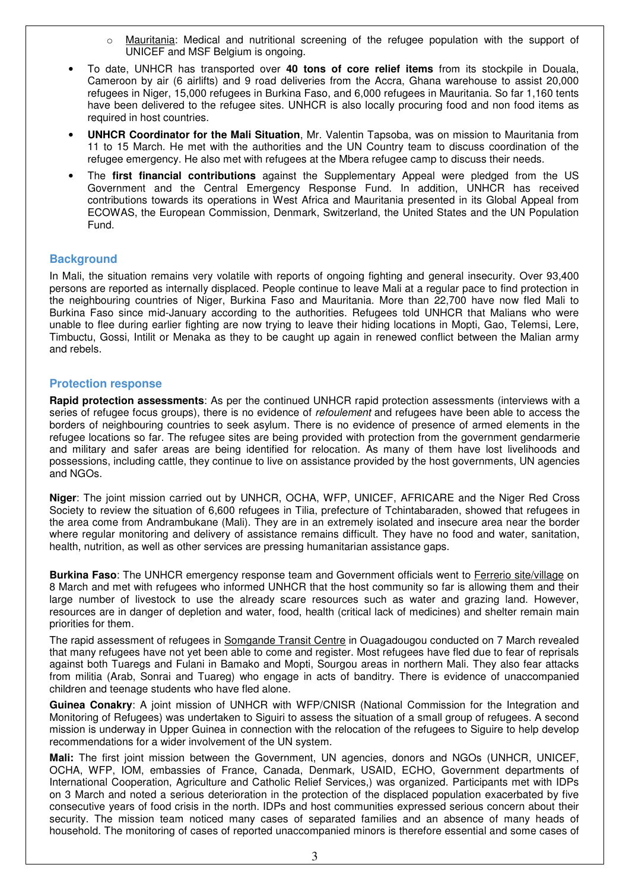- $\circ$  Mauritania: Medical and nutritional screening of the refugee population with the support of UNICEF and MSF Belgium is ongoing.
- To date, UNHCR has transported over **40 tons of core relief items** from its stockpile in Douala, Cameroon by air (6 airlifts) and 9 road deliveries from the Accra, Ghana warehouse to assist 20,000 refugees in Niger, 15,000 refugees in Burkina Faso, and 6,000 refugees in Mauritania. So far 1,160 tents have been delivered to the refugee sites. UNHCR is also locally procuring food and non food items as required in host countries.
- **UNHCR Coordinator for the Mali Situation**, Mr. Valentin Tapsoba, was on mission to Mauritania from 11 to 15 March. He met with the authorities and the UN Country team to discuss coordination of the refugee emergency. He also met with refugees at the Mbera refugee camp to discuss their needs.
- The **first financial contributions** against the Supplementary Appeal were pledged from the US Government and the Central Emergency Response Fund. In addition, UNHCR has received contributions towards its operations in West Africa and Mauritania presented in its Global Appeal from ECOWAS, the European Commission, Denmark, Switzerland, the United States and the UN Population Fund.

### **Background**

In Mali, the situation remains very volatile with reports of ongoing fighting and general insecurity. Over 93,400 persons are reported as internally displaced. People continue to leave Mali at a regular pace to find protection in the neighbouring countries of Niger, Burkina Faso and Mauritania. More than 22,700 have now fled Mali to Burkina Faso since mid-January according to the authorities. Refugees told UNHCR that Malians who were unable to flee during earlier fighting are now trying to leave their hiding locations in Mopti, Gao, Telemsi, Lere, Timbuctu, Gossi, Intilit or Menaka as they to be caught up again in renewed conflict between the Malian army and rebels.

#### **Protection response**

**Rapid protection assessments**: As per the continued UNHCR rapid protection assessments (interviews with a series of refugee focus groups), there is no evidence of *refoulement* and refugees have been able to access the borders of neighbouring countries to seek asylum. There is no evidence of presence of armed elements in the refugee locations so far. The refugee sites are being provided with protection from the government gendarmerie and military and safer areas are being identified for relocation. As many of them have lost livelihoods and possessions, including cattle, they continue to live on assistance provided by the host governments, UN agencies and NGOs.

**Niger**: The joint mission carried out by UNHCR, OCHA, WFP, UNICEF, AFRICARE and the Niger Red Cross Society to review the situation of 6,600 refugees in Tilia, prefecture of Tchintabaraden, showed that refugees in the area come from Andrambukane (Mali). They are in an extremely isolated and insecure area near the border where regular monitoring and delivery of assistance remains difficult. They have no food and water, sanitation, health, nutrition, as well as other services are pressing humanitarian assistance gaps.

**Burkina Faso**: The UNHCR emergency response team and Government officials went to Ferrerio site/village on 8 March and met with refugees who informed UNHCR that the host community so far is allowing them and their large number of livestock to use the already scare resources such as water and grazing land. However, resources are in danger of depletion and water, food, health (critical lack of medicines) and shelter remain main priorities for them.

The rapid assessment of refugees in Somgande Transit Centre in Ouagadougou conducted on 7 March revealed that many refugees have not yet been able to come and register. Most refugees have fled due to fear of reprisals against both Tuaregs and Fulani in Bamako and Mopti, Sourgou areas in northern Mali. They also fear attacks from militia (Arab, Sonrai and Tuareg) who engage in acts of banditry. There is evidence of unaccompanied children and teenage students who have fled alone.

**Guinea Conakry**: A joint mission of UNHCR with WFP/CNISR (National Commission for the Integration and Monitoring of Refugees) was undertaken to Siguiri to assess the situation of a small group of refugees. A second mission is underway in Upper Guinea in connection with the relocation of the refugees to Siguire to help develop recommendations for a wider involvement of the UN system.

**Mali:** The first joint mission between the Government, UN agencies, donors and NGOs (UNHCR, UNICEF, OCHA, WFP, IOM, embassies of France, Canada, Denmark, USAID, ECHO, Government departments of International Cooperation, Agriculture and Catholic Relief Services,) was organized. Participants met with IDPs on 3 March and noted a serious deterioration in the protection of the displaced population exacerbated by five consecutive years of food crisis in the north. IDPs and host communities expressed serious concern about their security. The mission team noticed many cases of separated families and an absence of many heads of household. The monitoring of cases of reported unaccompanied minors is therefore essential and some cases of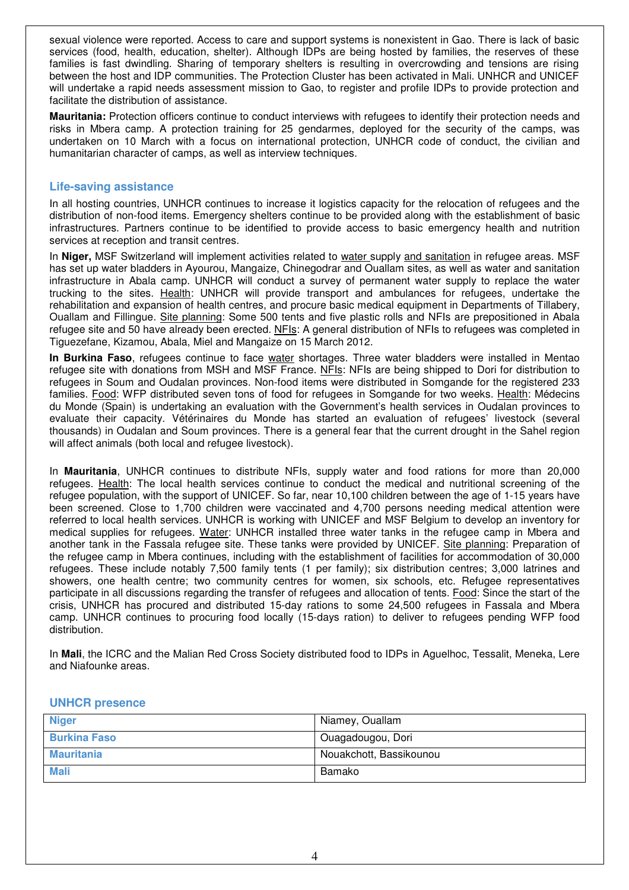sexual violence were reported. Access to care and support systems is nonexistent in Gao. There is lack of basic services (food, health, education, shelter). Although IDPs are being hosted by families, the reserves of these families is fast dwindling. Sharing of temporary shelters is resulting in overcrowding and tensions are rising between the host and IDP communities. The Protection Cluster has been activated in Mali. UNHCR and UNICEF will undertake a rapid needs assessment mission to Gao, to register and profile IDPs to provide protection and facilitate the distribution of assistance.

**Mauritania:** Protection officers continue to conduct interviews with refugees to identify their protection needs and risks in Mbera camp. A protection training for 25 gendarmes, deployed for the security of the camps, was undertaken on 10 March with a focus on international protection, UNHCR code of conduct, the civilian and humanitarian character of camps, as well as interview techniques.

#### **Life-saving assistance**

In all hosting countries, UNHCR continues to increase it logistics capacity for the relocation of refugees and the distribution of non-food items. Emergency shelters continue to be provided along with the establishment of basic infrastructures. Partners continue to be identified to provide access to basic emergency health and nutrition services at reception and transit centres.

In **Niger,** MSF Switzerland will implement activities related to water supply and sanitation in refugee areas. MSF has set up water bladders in Ayourou, Mangaize, Chinegodrar and Ouallam sites, as well as water and sanitation infrastructure in Abala camp. UNHCR will conduct a survey of permanent water supply to replace the water trucking to the sites. Health: UNHCR will provide transport and ambulances for refugees, undertake the rehabilitation and expansion of health centres, and procure basic medical equipment in Departments of Tillabery, Ouallam and Fillingue. Site planning: Some 500 tents and five plastic rolls and NFIs are prepositioned in Abala refugee site and 50 have already been erected. NFIs: A general distribution of NFIs to refugees was completed in Tiguezefane, Kizamou, Abala, Miel and Mangaize on 15 March 2012.

**In Burkina Faso**, refugees continue to face water shortages. Three water bladders were installed in Mentao refugee site with donations from MSH and MSF France. NFIs: NFIs are being shipped to Dori for distribution to refugees in Soum and Oudalan provinces. Non-food items were distributed in Somgande for the registered 233 families. Food: WFP distributed seven tons of food for refugees in Somgande for two weeks. Health: Médecins du Monde (Spain) is undertaking an evaluation with the Government's health services in Oudalan provinces to evaluate their capacity. Vétérinaires du Monde has started an evaluation of refugees' livestock (several thousands) in Oudalan and Soum provinces. There is a general fear that the current drought in the Sahel region will affect animals (both local and refugee livestock).

In **Mauritania**, UNHCR continues to distribute NFIs, supply water and food rations for more than 20,000 refugees. Health: The local health services continue to conduct the medical and nutritional screening of the refugee population, with the support of UNICEF. So far, near 10,100 children between the age of 1-15 years have been screened. Close to 1,700 children were vaccinated and 4,700 persons needing medical attention were referred to local health services. UNHCR is working with UNICEF and MSF Belgium to develop an inventory for medical supplies for refugees. Water: UNHCR installed three water tanks in the refugee camp in Mbera and another tank in the Fassala refugee site. These tanks were provided by UNICEF. Site planning: Preparation of the refugee camp in Mbera continues, including with the establishment of facilities for accommodation of 30,000 refugees. These include notably 7,500 family tents (1 per family); six distribution centres; 3,000 latrines and showers, one health centre; two community centres for women, six schools, etc. Refugee representatives participate in all discussions regarding the transfer of refugees and allocation of tents. Food: Since the start of the crisis, UNHCR has procured and distributed 15-day rations to some 24,500 refugees in Fassala and Mbera camp. UNHCR continues to procuring food locally (15-days ration) to deliver to refugees pending WFP food distribution.

In **Mali**, the ICRC and the Malian Red Cross Society distributed food to IDPs in Aguelhoc, Tessalit, Meneka, Lere and Niafounke areas.

| <b>Niger</b>        | Niamey, Ouallam         |
|---------------------|-------------------------|
| <b>Burkina Faso</b> | Ouagadougou, Dori       |
| <b>Mauritania</b>   | Nouakchott, Bassikounou |
| <b>Mali</b>         | Bamako                  |

#### **UNHCR presence**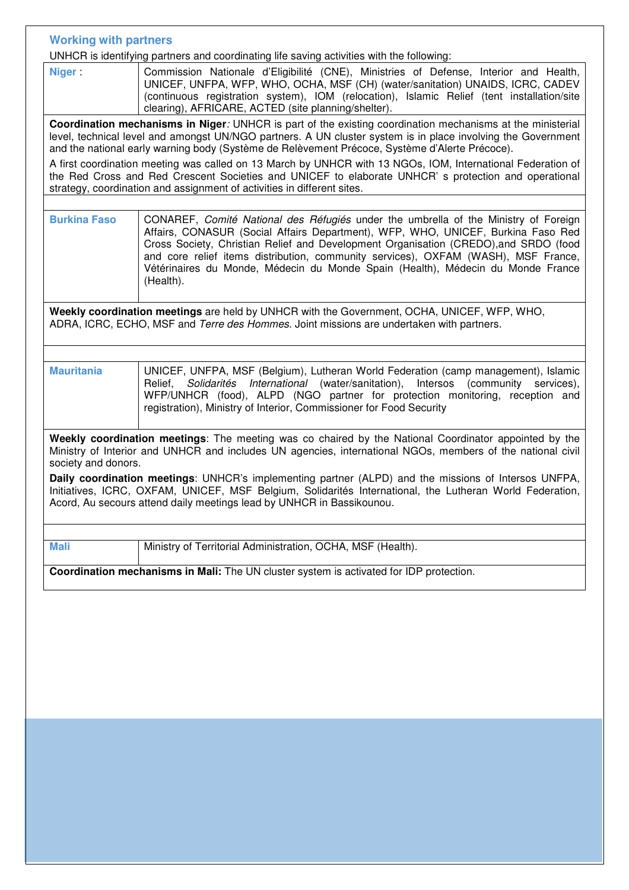| <b>Working with partners</b>                                                                                                                                                                                                                                                                                                                                                                                                                                                                                                                                                                                                  |                                                                                                                                                                                                                                                                                                                                                                                                                                                       |  |
|-------------------------------------------------------------------------------------------------------------------------------------------------------------------------------------------------------------------------------------------------------------------------------------------------------------------------------------------------------------------------------------------------------------------------------------------------------------------------------------------------------------------------------------------------------------------------------------------------------------------------------|-------------------------------------------------------------------------------------------------------------------------------------------------------------------------------------------------------------------------------------------------------------------------------------------------------------------------------------------------------------------------------------------------------------------------------------------------------|--|
| UNHCR is identifying partners and coordinating life saving activities with the following:                                                                                                                                                                                                                                                                                                                                                                                                                                                                                                                                     |                                                                                                                                                                                                                                                                                                                                                                                                                                                       |  |
| <b>Niger</b>                                                                                                                                                                                                                                                                                                                                                                                                                                                                                                                                                                                                                  | Commission Nationale d'Eligibilité (CNE), Ministries of Defense, Interior and Health,<br>UNICEF, UNFPA, WFP, WHO, OCHA, MSF (CH) (water/sanitation) UNAIDS, ICRC, CADEV<br>(continuous registration system), IOM (relocation), Islamic Relief (tent installation/site<br>clearing), AFRICARE, ACTED (site planning/shelter).                                                                                                                          |  |
| Coordination mechanisms in Niger: UNHCR is part of the existing coordination mechanisms at the ministerial<br>level, technical level and amongst UN/NGO partners. A UN cluster system is in place involving the Government<br>and the national early warning body (Système de Relèvement Précoce, Système d'Alerte Précoce).<br>A first coordination meeting was called on 13 March by UNHCR with 13 NGOs, IOM, International Federation of<br>the Red Cross and Red Crescent Societies and UNICEF to elaborate UNHCR's protection and operational<br>strategy, coordination and assignment of activities in different sites. |                                                                                                                                                                                                                                                                                                                                                                                                                                                       |  |
|                                                                                                                                                                                                                                                                                                                                                                                                                                                                                                                                                                                                                               |                                                                                                                                                                                                                                                                                                                                                                                                                                                       |  |
| <b>Burkina Faso</b>                                                                                                                                                                                                                                                                                                                                                                                                                                                                                                                                                                                                           | CONAREF, Comité National des Réfugiés under the umbrella of the Ministry of Foreign<br>Affairs, CONASUR (Social Affairs Department), WFP, WHO, UNICEF, Burkina Faso Red<br>Cross Society, Christian Relief and Development Organisation (CREDO), and SRDO (food<br>and core relief items distribution, community services), OXFAM (WASH), MSF France,<br>Vétérinaires du Monde, Médecin du Monde Spain (Health), Médecin du Monde France<br>(Health). |  |
| Weekly coordination meetings are held by UNHCR with the Government, OCHA, UNICEF, WFP, WHO,<br>ADRA, ICRC, ECHO, MSF and Terre des Hommes. Joint missions are undertaken with partners.                                                                                                                                                                                                                                                                                                                                                                                                                                       |                                                                                                                                                                                                                                                                                                                                                                                                                                                       |  |
|                                                                                                                                                                                                                                                                                                                                                                                                                                                                                                                                                                                                                               |                                                                                                                                                                                                                                                                                                                                                                                                                                                       |  |
| <b>Mauritania</b>                                                                                                                                                                                                                                                                                                                                                                                                                                                                                                                                                                                                             | UNICEF, UNFPA, MSF (Belgium), Lutheran World Federation (camp management), Islamic<br>Solidarités International (water/sanitation), Intersos<br>(community services),<br>Relief,<br>WFP/UNHCR (food), ALPD (NGO partner for protection monitoring, reception and<br>registration), Ministry of Interior, Commissioner for Food Security                                                                                                               |  |
| Weekly coordination meetings: The meeting was co chaired by the National Coordinator appointed by the<br>Ministry of Interior and UNHCR and includes UN agencies, international NGOs, members of the national civil<br>society and donors.                                                                                                                                                                                                                                                                                                                                                                                    |                                                                                                                                                                                                                                                                                                                                                                                                                                                       |  |
|                                                                                                                                                                                                                                                                                                                                                                                                                                                                                                                                                                                                                               | Daily coordination meetings: UNHCR's implementing partner (ALPD) and the missions of Intersos UNFPA,                                                                                                                                                                                                                                                                                                                                                  |  |
| Initiatives, ICRC, OXFAM, UNICEF, MSF Belgium, Solidarités International, the Lutheran World Federation,<br>Acord, Au secours attend daily meetings lead by UNHCR in Bassikounou.                                                                                                                                                                                                                                                                                                                                                                                                                                             |                                                                                                                                                                                                                                                                                                                                                                                                                                                       |  |
|                                                                                                                                                                                                                                                                                                                                                                                                                                                                                                                                                                                                                               |                                                                                                                                                                                                                                                                                                                                                                                                                                                       |  |
| <b>Mali</b>                                                                                                                                                                                                                                                                                                                                                                                                                                                                                                                                                                                                                   | Ministry of Territorial Administration, OCHA, MSF (Health).                                                                                                                                                                                                                                                                                                                                                                                           |  |
|                                                                                                                                                                                                                                                                                                                                                                                                                                                                                                                                                                                                                               | Coordination mechanisms in Mali: The UN cluster system is activated for IDP protection.                                                                                                                                                                                                                                                                                                                                                               |  |